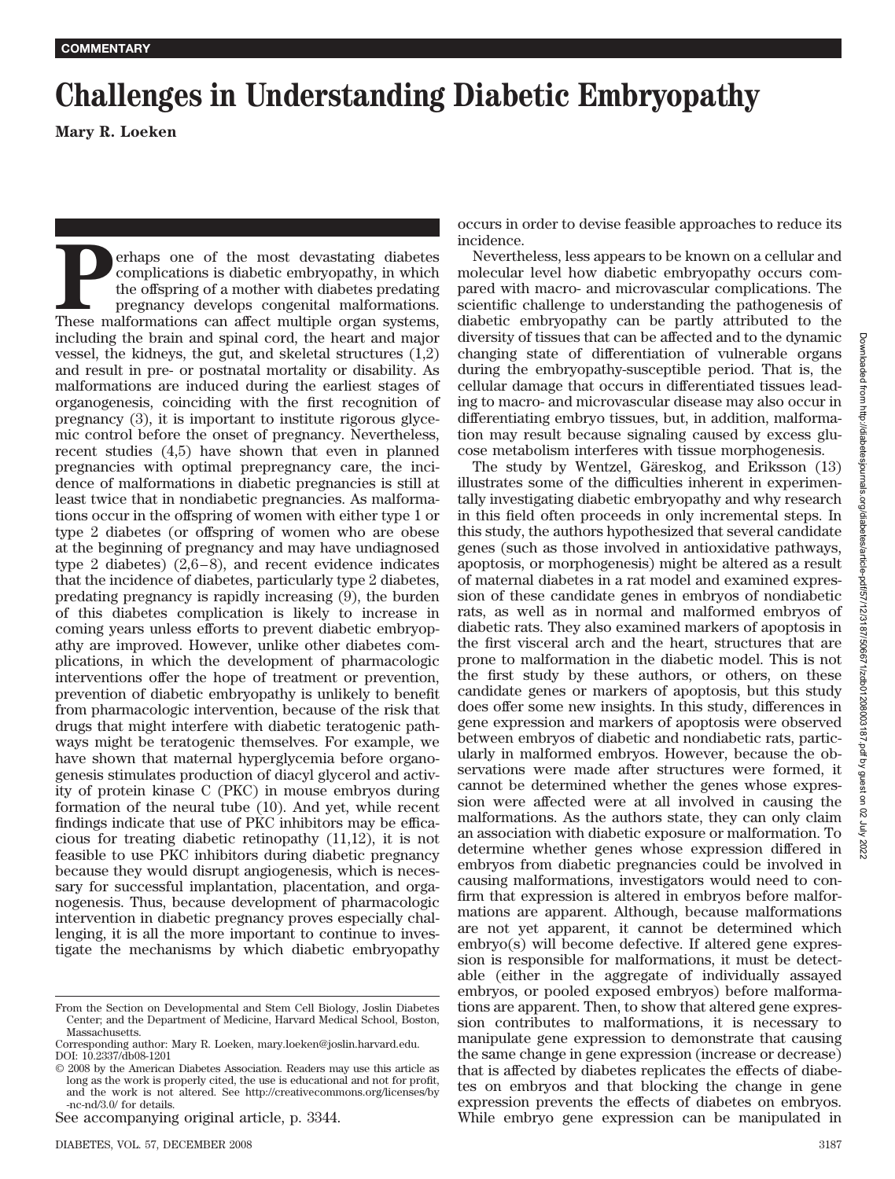## **Challenges in Understanding Diabetic Embryopathy**

**Mary R. Loeken**

**Perhaps one of the most devastating diabetes**<br>
complications is diabetic embryopathy, in which<br>
the offspring of a mother with diabetes predating<br>
pregnancy develops congenital malformations.<br>
These malformations can affe complications is diabetic embryopathy, in which the offspring of a mother with diabetes predating pregnancy develops congenital malformations. including the brain and spinal cord, the heart and major vessel, the kidneys, the gut, and skeletal structures (1,2) and result in pre- or postnatal mortality or disability. As malformations are induced during the earliest stages of organogenesis, coinciding with the first recognition of pregnancy (3), it is important to institute rigorous glycemic control before the onset of pregnancy. Nevertheless, recent studies (4,5) have shown that even in planned pregnancies with optimal prepregnancy care, the incidence of malformations in diabetic pregnancies is still at least twice that in nondiabetic pregnancies. As malformations occur in the offspring of women with either type 1 or type 2 diabetes (or offspring of women who are obese at the beginning of pregnancy and may have undiagnosed type 2 diabetes)  $(2,6-8)$ , and recent evidence indicates that the incidence of diabetes, particularly type 2 diabetes, predating pregnancy is rapidly increasing (9), the burden of this diabetes complication is likely to increase in coming years unless efforts to prevent diabetic embryopathy are improved. However, unlike other diabetes complications, in which the development of pharmacologic interventions offer the hope of treatment or prevention, prevention of diabetic embryopathy is unlikely to benefit from pharmacologic intervention, because of the risk that drugs that might interfere with diabetic teratogenic pathways might be teratogenic themselves. For example, we have shown that maternal hyperglycemia before organogenesis stimulates production of diacyl glycerol and activity of protein kinase C (PKC) in mouse embryos during formation of the neural tube (10). And yet, while recent findings indicate that use of PKC inhibitors may be efficacious for treating diabetic retinopathy (11,12), it is not feasible to use PKC inhibitors during diabetic pregnancy because they would disrupt angiogenesis, which is necessary for successful implantation, placentation, and organogenesis. Thus, because development of pharmacologic intervention in diabetic pregnancy proves especially challenging, it is all the more important to continue to investigate the mechanisms by which diabetic embryopathy

See accompanying original article, p. 3344.

occurs in order to devise feasible approaches to reduce its incidence.

Nevertheless, less appears to be known on a cellular and molecular level how diabetic embryopathy occurs compared with macro- and microvascular complications. The scientific challenge to understanding the pathogenesis of diabetic embryopathy can be partly attributed to the diversity of tissues that can be affected and to the dynamic changing state of differentiation of vulnerable organs during the embryopathy-susceptible period. That is, the cellular damage that occurs in differentiated tissues leading to macro- and microvascular disease may also occur in differentiating embryo tissues, but, in addition, malformation may result because signaling caused by excess glucose metabolism interferes with tissue morphogenesis.

The study by Wentzel, Gäreskog, and Eriksson (13) illustrates some of the difficulties inherent in experimentally investigating diabetic embryopathy and why research in this field often proceeds in only incremental steps. In this study, the authors hypothesized that several candidate genes (such as those involved in antioxidative pathways, apoptosis, or morphogenesis) might be altered as a result of maternal diabetes in a rat model and examined expression of these candidate genes in embryos of nondiabetic rats, as well as in normal and malformed embryos of diabetic rats. They also examined markers of apoptosis in the first visceral arch and the heart, structures that are prone to malformation in the diabetic model. This is not the first study by these authors, or others, on these candidate genes or markers of apoptosis, but this study does offer some new insights. In this study, differences in gene expression and markers of apoptosis were observed between embryos of diabetic and nondiabetic rats, particularly in malformed embryos. However, because the observations were made after structures were formed, it cannot be determined whether the genes whose expression were affected were at all involved in causing the malformations. As the authors state, they can only claim an association with diabetic exposure or malformation. To determine whether genes whose expression differed in embryos from diabetic pregnancies could be involved in causing malformations, investigators would need to confirm that expression is altered in embryos before malformations are apparent. Although, because malformations are not yet apparent, it cannot be determined which embryo(s) will become defective. If altered gene expression is responsible for malformations, it must be detectable (either in the aggregate of individually assayed embryos, or pooled exposed embryos) before malformations are apparent. Then, to show that altered gene expression contributes to malformations, it is necessary to manipulate gene expression to demonstrate that causing the same change in gene expression (increase or decrease) that is affected by diabetes replicates the effects of diabetes on embryos and that blocking the change in gene expression prevents the effects of diabetes on embryos. While embryo gene expression can be manipulated in

From the Section on Developmental and Stem Cell Biology, Joslin Diabetes Center; and the Department of Medicine, Harvard Medical School, Boston, Massachusetts.

Corresponding author: Mary R. Loeken, mary.loeken@joslin.harvard.edu. DOI: 10.2337/db08-1201

<sup>© 2008</sup> by the American Diabetes Association. Readers may use this article as long as the work is properly cited, the use is educational and not for profit, and the work is not altered. See http://creativecommons.org/licenses/by -nc-nd/3.0/ for details.